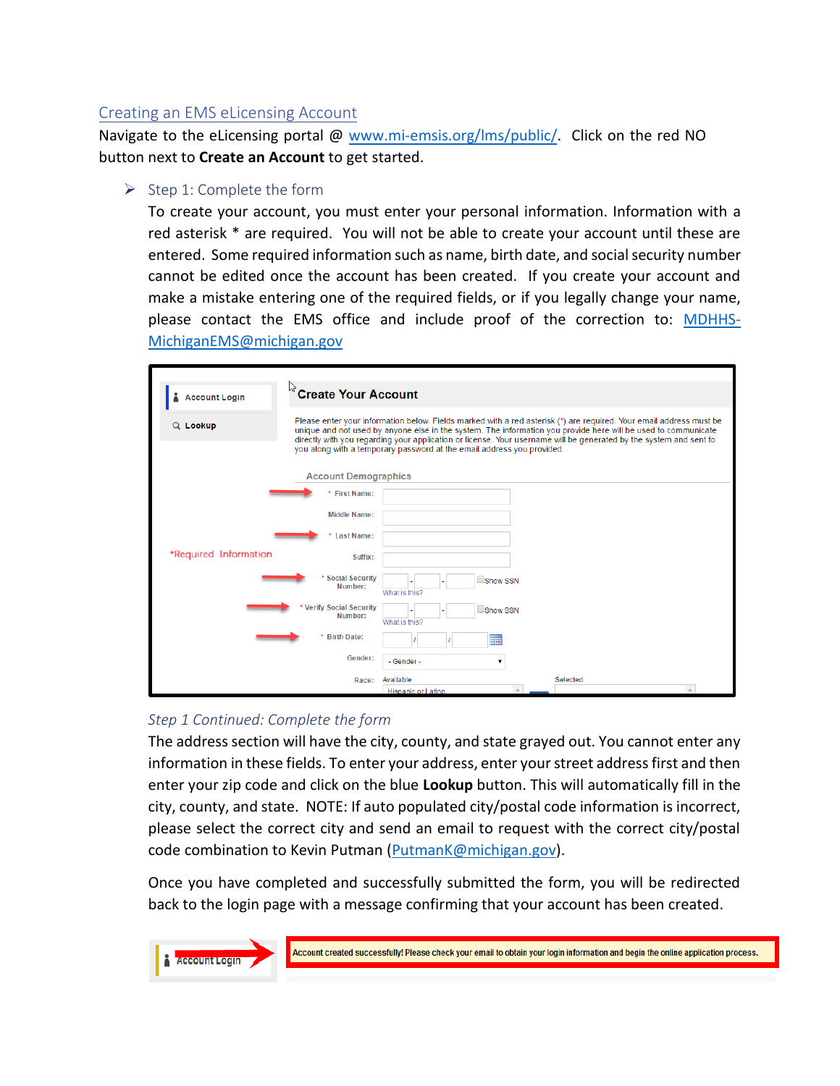# Creating an EMS eLicensing Account

Navigate to the eLicensing portal @ [www.mi-emsis.org/lms/public/](http://www.mi-emsis.org/licensure). Click on the red NO button next to **Create an Account** to get started.

### $\triangleright$  Step 1: Complete the form

To create your account, you must enter your personal information. Information with a red asterisk \* are required. You will not be able to create your account until these are entered. Some required information such as name, birth date, and social security number cannot be edited once the account has been created. If you create your account and make a mistake entering one of the required fields, or if you legally change your name, please contact the EMS office and include proof of the correction to: [MDHHS-](mailto:MDHHS-MichiganEMS@michigan.gov)[MichiganEMS@michigan.gov](mailto:MDHHS-MichiganEMS@michigan.gov)

| <b>Account Login</b>                                      | <b>Create Your Account</b>                                                                                                                                                                                                                                                                                                                                                                                                            |                              |
|-----------------------------------------------------------|---------------------------------------------------------------------------------------------------------------------------------------------------------------------------------------------------------------------------------------------------------------------------------------------------------------------------------------------------------------------------------------------------------------------------------------|------------------------------|
| Q Lookup                                                  | Please enter your information below. Fields marked with a red asterisk (*) are required. Your email address must be<br>unique and not used by anyone else in the system. The information you provide here will be used to communicate<br>directly with you regarding your application or license. Your username will be generated by the system and sent to<br>you along with a temporary password at the email address you provided. |                              |
| <b>Account Demographics</b>                               |                                                                                                                                                                                                                                                                                                                                                                                                                                       |                              |
|                                                           | * First Name:                                                                                                                                                                                                                                                                                                                                                                                                                         |                              |
|                                                           | <b>Middle Name:</b>                                                                                                                                                                                                                                                                                                                                                                                                                   |                              |
| <b>Last Name:</b>                                         |                                                                                                                                                                                                                                                                                                                                                                                                                                       |                              |
| *Required Information                                     | Suffix:                                                                                                                                                                                                                                                                                                                                                                                                                               |                              |
|                                                           | * Social Security<br>Number:                                                                                                                                                                                                                                                                                                                                                                                                          | Show SSN<br>What is this?    |
| <b>Verify Social Security</b><br>Number:<br>* Birth Date: |                                                                                                                                                                                                                                                                                                                                                                                                                                       | Show SSN<br>What is this?    |
|                                                           |                                                                                                                                                                                                                                                                                                                                                                                                                                       | ma.                          |
|                                                           | Gender:                                                                                                                                                                                                                                                                                                                                                                                                                               | - Gender -<br>$\blacksquare$ |
|                                                           | Race:                                                                                                                                                                                                                                                                                                                                                                                                                                 | Available<br>Selected        |
|                                                           |                                                                                                                                                                                                                                                                                                                                                                                                                                       | <b>Hispanic or Latino</b>    |

## *Step 1 Continued: Complete the form*

The address section will have the city, county, and state grayed out. You cannot enter any information in these fields. To enter your address, enter your street address first and then enter your zip code and click on the blue **Lookup** button. This will automatically fill in the city, county, and state. NOTE: If auto populated city/postal code information is incorrect, please select the correct city and send an email to request with the correct city/postal code combination to Kevin Putman [\(PutmanK@michigan.gov\)](mailto:PutmanK@michigan.gov).

Once you have completed and successfully submitted the form, you will be redirected back to the login page with a message confirming that your account has been created.